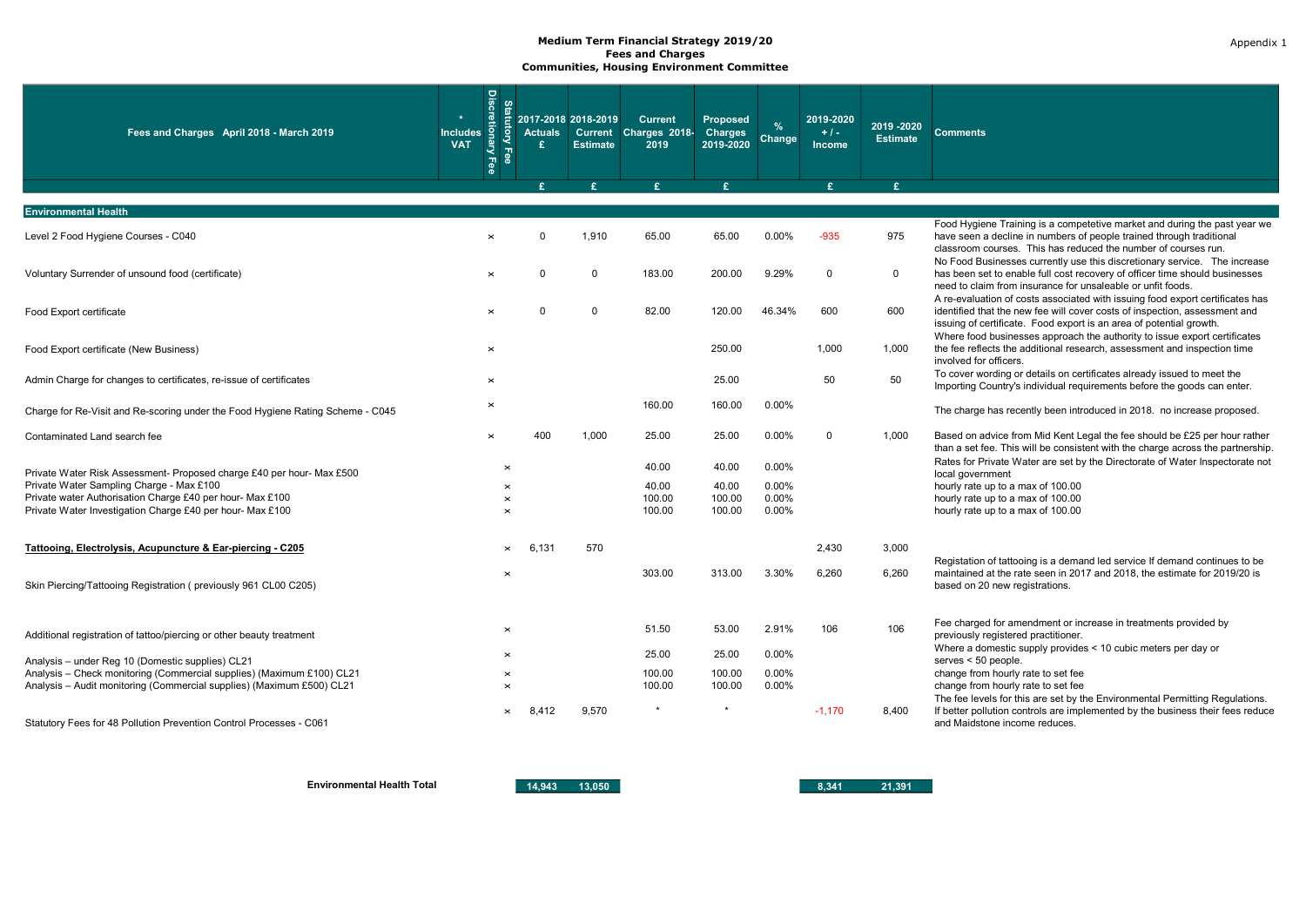| Fees and Charges April 2018 - March 2019                                                                               | $\star$<br><b>Includes</b><br><b>VAT</b> | <b>Discretion</b><br>Statur<br>ಕ್ಷಿ<br>Fee<br>$\overline{\mathbf{e}}$ | <b>Actuals</b><br>£ | 2017-2018 2018-2019<br><b>Estimate</b> | <b>Current</b><br>Current Charges 2018-<br>2019 | Proposed<br><b>Charges</b><br>2019-2020 | $\frac{9}{6}$<br>Change | 2019-2020<br>$+1-$<br>Income | 2019 - 2020<br><b>Estimate</b> | <b>Comments</b>                                                                                                                                                                                                                    |
|------------------------------------------------------------------------------------------------------------------------|------------------------------------------|-----------------------------------------------------------------------|---------------------|----------------------------------------|-------------------------------------------------|-----------------------------------------|-------------------------|------------------------------|--------------------------------|------------------------------------------------------------------------------------------------------------------------------------------------------------------------------------------------------------------------------------|
|                                                                                                                        |                                          |                                                                       | <b>c</b>            | ¢                                      | £                                               | £.                                      |                         | £                            | £.                             |                                                                                                                                                                                                                                    |
| <b>Environmental Health</b>                                                                                            |                                          |                                                                       |                     |                                        |                                                 |                                         |                         |                              |                                |                                                                                                                                                                                                                                    |
| Level 2 Food Hygiene Courses - C040                                                                                    |                                          |                                                                       | $\Omega$            | 1,910                                  | 65.00                                           | 65.00                                   | 0.00%                   | $-935$                       | 975                            | Food Hygiene Training is a competetive market and during the past year we<br>have seen a decline in numbers of people trained through traditional<br>classroom courses. This has reduced the number of courses run.                |
| Voluntary Surrender of unsound food (certificate)                                                                      |                                          | $\times$                                                              | $\Omega$            | $\mathbf 0$                            | 183.00                                          | 200.00                                  | 9.29%                   | 0                            | $\mathbf 0$                    | No Food Businesses currently use this discretionary service. The increase<br>has been set to enable full cost recovery of officer time should businesses<br>need to claim from insurance for unsaleable or unfit foods.            |
| Food Export certificate                                                                                                |                                          | $\times$                                                              | $\Omega$            | $\Omega$                               | 82.00                                           | 120.00                                  | 46.34%                  | 600                          | 600                            | A re-evaluation of costs associated with issuing food export certificates has<br>identified that the new fee will cover costs of inspection, assessment and<br>issuing of certificate. Food export is an area of potential growth. |
| Food Export certificate (New Business)                                                                                 |                                          | $\times$                                                              |                     |                                        |                                                 | 250.00                                  |                         | 1,000                        | 1,000                          | Where food businesses approach the authority to issue export certificates<br>the fee reflects the additional research, assessment and inspection time<br>involved for officers.                                                    |
| Admin Charge for changes to certificates, re-issue of certificates                                                     |                                          | $\times$                                                              |                     |                                        |                                                 | 25.00                                   |                         | 50                           | 50                             | To cover wording or details on certificates already issued to meet the<br>Importing Country's individual requirements before the goods can enter.                                                                                  |
| Charge for Re-Visit and Re-scoring under the Food Hygiene Rating Scheme - C045                                         |                                          | $\times$                                                              |                     |                                        | 160.00                                          | 160.00                                  | 0.00%                   |                              |                                | The charge has recently been introduced in 2018. no increase proposed.                                                                                                                                                             |
| Contaminated Land search fee                                                                                           |                                          | $\times$                                                              | 400                 | 1,000                                  | 25.00                                           | 25.00                                   | 0.00%                   | 0                            | 1,000                          | Based on advice from Mid Kent Legal the fee should be £25 per hour rather<br>than a set fee. This will be consistent with the charge across the partnership.                                                                       |
| Private Water Risk Assessment- Proposed charge £40 per hour- Max £500                                                  |                                          | $\times$                                                              |                     |                                        | 40.00                                           | 40.00                                   | 0.00%                   |                              |                                | Rates for Private Water are set by the Directorate of Water Inspectorate not<br>local government                                                                                                                                   |
| Private Water Sampling Charge - Max £100                                                                               |                                          |                                                                       |                     |                                        | 40.00                                           | 40.00                                   | 0.00%                   |                              |                                | hourly rate up to a max of 100.00                                                                                                                                                                                                  |
| Private water Authorisation Charge £40 per hour- Max £100<br>Private Water Investigation Charge £40 per hour- Max £100 |                                          | $\times$                                                              |                     |                                        | 100.00                                          | 100.00                                  | 0.00%                   |                              |                                | hourly rate up to a max of 100.00                                                                                                                                                                                                  |
|                                                                                                                        |                                          | $\times$                                                              |                     |                                        | 100.00                                          | 100.00                                  | 0.00%                   |                              |                                | hourly rate up to a max of 100.00                                                                                                                                                                                                  |
| Tattooing, Electrolysis, Acupuncture & Ear-piercing - C205                                                             |                                          | $\times$                                                              | 6,131               | 570                                    |                                                 |                                         |                         | 2,430                        | 3,000                          | Registation of tattooing is a demand led service If demand continues to be                                                                                                                                                         |
| Skin Piercing/Tattooing Registration (previously 961 CL00 C205)                                                        |                                          | $\times$                                                              |                     |                                        | 303.00                                          | 313.00                                  | 3.30%                   | 6,260                        | 6,260                          | maintained at the rate seen in 2017 and 2018, the estimate for 2019/20 is<br>based on 20 new registrations.                                                                                                                        |
| Additional registration of tattoo/piercing or other beauty treatment                                                   |                                          | $\times$                                                              |                     |                                        | 51.50                                           | 53.00                                   | 2.91%                   | 106                          | 106                            | Fee charged for amendment or increase in treatments provided by<br>previously registered practitioner.                                                                                                                             |
| Analysis - under Reg 10 (Domestic supplies) CL21                                                                       |                                          |                                                                       |                     |                                        | 25.00                                           | 25.00                                   | 0.00%                   |                              |                                | Where a domestic supply provides < 10 cubic meters per day or<br>serves < 50 people.                                                                                                                                               |
| Analysis - Check monitoring (Commercial supplies) (Maximum £100) CL21                                                  |                                          | $\times$                                                              |                     |                                        | 100.00                                          | 100.00                                  | 0.00%                   |                              |                                | change from hourly rate to set fee                                                                                                                                                                                                 |
| Analysis - Audit monitoring (Commercial supplies) (Maximum £500) CL21                                                  |                                          | $\times$                                                              |                     |                                        | 100.00                                          | 100.00                                  | 0.00%                   |                              |                                | change from hourly rate to set fee<br>The fee levels for this are set by the Environmental Permitting Regulations.                                                                                                                 |
| Statutory Fees for 48 Pollution Prevention Control Processes - C061                                                    |                                          |                                                                       | 8.412               | 9.570                                  |                                                 |                                         |                         | $-1.170$                     | 8.400                          | If better pollution controls are implemented by the business their fees reduce<br>and Maidstone income reduces.                                                                                                                    |

Environmental Health Total 14,943 13,050 13,050 8,341 21,391

Appendix 1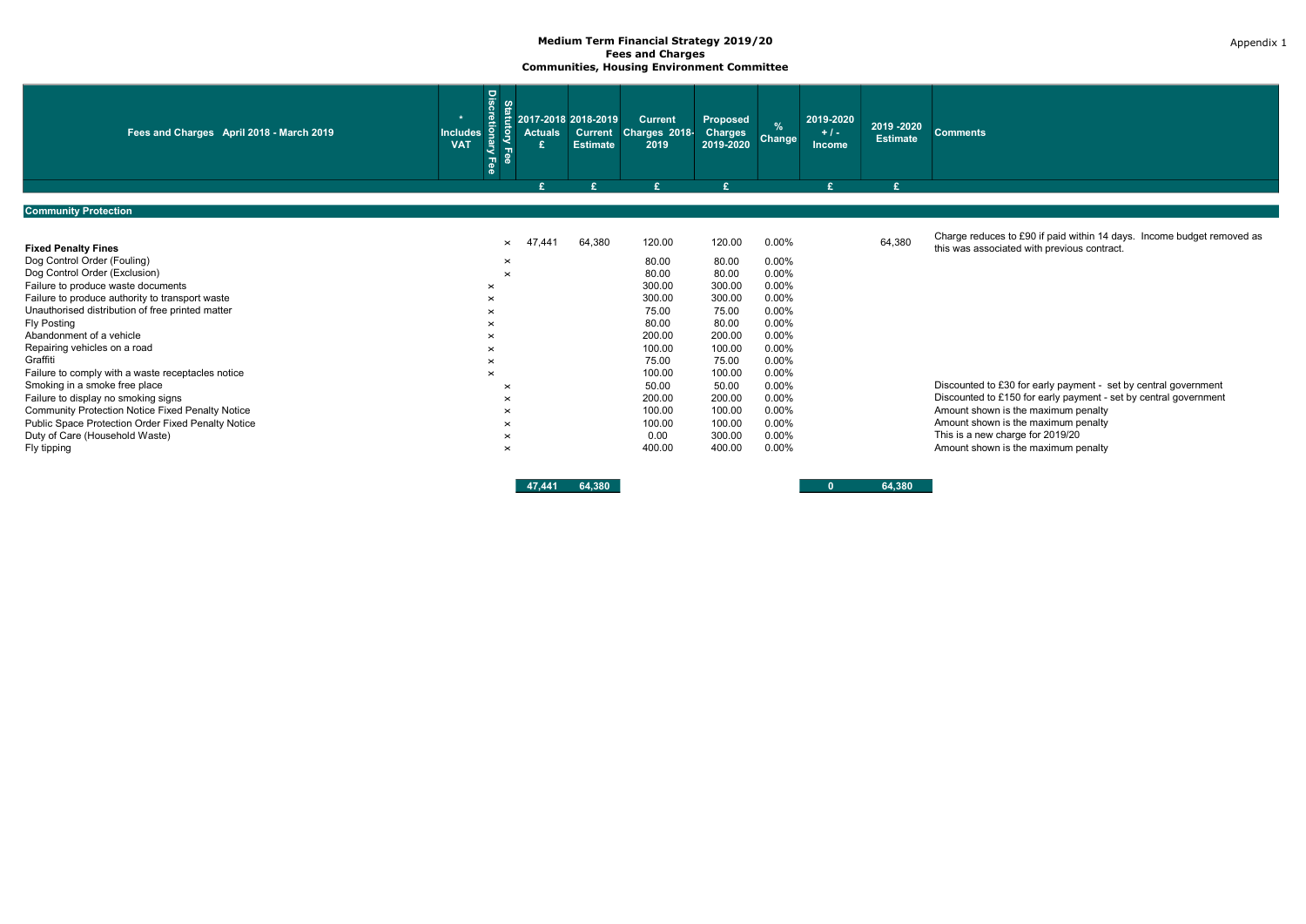| Fees and Charges April 2018 - March 2019           | <b>Discretiona</b><br>Sta<br>Ē.<br>$\star$<br>$\vec{S}$<br><b>Includes</b><br><b>VAT</b><br>Ξ<br><b>Fee</b><br>Fee | <b>Actuals</b>       | 2017-2018 2018-2019<br><b>Estimate</b> | <b>Current</b><br>Current Charges 2018-<br>2019 | Proposed<br><b>Charges</b><br>2019-2020 | $\frac{9}{6}$<br>Change | 2019-2020<br>$+1$<br>Income | 2019 - 2020<br><b>Estimate</b> | <b>Comments</b>                                                                                                       |
|----------------------------------------------------|--------------------------------------------------------------------------------------------------------------------|----------------------|----------------------------------------|-------------------------------------------------|-----------------------------------------|-------------------------|-----------------------------|--------------------------------|-----------------------------------------------------------------------------------------------------------------------|
|                                                    |                                                                                                                    |                      |                                        | £                                               | £                                       |                         | £                           | £                              |                                                                                                                       |
| <b>Community Protection</b>                        |                                                                                                                    |                      |                                        |                                                 |                                         |                         |                             |                                |                                                                                                                       |
|                                                    |                                                                                                                    |                      |                                        |                                                 |                                         |                         |                             |                                |                                                                                                                       |
| <b>Fixed Penalty Fines</b>                         |                                                                                                                    | 441<br>4<br>$\times$ | 64,380                                 | 120.00                                          | 120.00                                  | 0.00%                   |                             | 64,380                         | Charge reduces to £90 if paid within 14 days. Income budget removed as<br>this was associated with previous contract. |
| Dog Control Order (Fouling)                        | $\times$                                                                                                           |                      |                                        | 80.00                                           | 80.00                                   | 0.00%                   |                             |                                |                                                                                                                       |
| Dog Control Order (Exclusion)                      | $\times$                                                                                                           |                      |                                        | 80.00                                           | 80.00                                   | 0.00%                   |                             |                                |                                                                                                                       |
| Failure to produce waste documents                 | $\times$                                                                                                           |                      |                                        | 300.00                                          | 300.00                                  | 0.00%                   |                             |                                |                                                                                                                       |
| Failure to produce authority to transport waste    | $\times$                                                                                                           |                      |                                        | 300.00                                          | 300.00                                  | 0.00%                   |                             |                                |                                                                                                                       |
| Unauthorised distribution of free printed matter   | $\times$                                                                                                           |                      |                                        | 75.00                                           | 75.00                                   | 0.00%                   |                             |                                |                                                                                                                       |
| Fly Posting                                        |                                                                                                                    |                      |                                        | 80.00                                           | 80.00                                   | 0.00%                   |                             |                                |                                                                                                                       |
| Abandonment of a vehicle                           |                                                                                                                    |                      |                                        | 200.00                                          | 200.00                                  | 0.00%                   |                             |                                |                                                                                                                       |
| Repairing vehicles on a road                       | $\times$                                                                                                           |                      |                                        | 100.00                                          | 100.00                                  | 0.00%                   |                             |                                |                                                                                                                       |
| Graffiti                                           | $\times$                                                                                                           |                      |                                        | 75.00                                           | 75.00                                   | 0.00%                   |                             |                                |                                                                                                                       |
| Failure to comply with a waste receptacles notice  | $\times$                                                                                                           |                      |                                        | 100.00                                          | 100.00                                  | 0.00%                   |                             |                                |                                                                                                                       |
| Smoking in a smoke free place                      | $\times$                                                                                                           |                      |                                        | 50.00                                           | 50.00                                   | 0.00%                   |                             |                                | Discounted to £30 for early payment - set by central government                                                       |
| Failure to display no smoking signs                | $\times$                                                                                                           |                      |                                        | 200.00                                          | 200.00                                  | 0.00%                   |                             |                                | Discounted to £150 for early payment - set by central government                                                      |
| Community Protection Notice Fixed Penalty Notice   | $\times$                                                                                                           |                      |                                        | 100.00                                          | 100.00                                  | 0.00%                   |                             |                                | Amount shown is the maximum penalty                                                                                   |
| Public Space Protection Order Fixed Penalty Notice | $\times$                                                                                                           |                      |                                        | 100.00                                          | 100.00                                  | 0.00%                   |                             |                                | Amount shown is the maximum penalty                                                                                   |
| Duty of Care (Household Waste)                     | $\times$                                                                                                           |                      |                                        | 0.00                                            | 300.00                                  | 0.00%                   |                             |                                | This is a new charge for 2019/20                                                                                      |
| Fly tipping                                        | $\times$                                                                                                           |                      |                                        | 400.00                                          | 400.00                                  | 0.00%                   |                             |                                | Amount shown is the maximum penalty                                                                                   |
|                                                    |                                                                                                                    |                      |                                        |                                                 |                                         |                         |                             |                                |                                                                                                                       |

47,441 64,380 0 64,380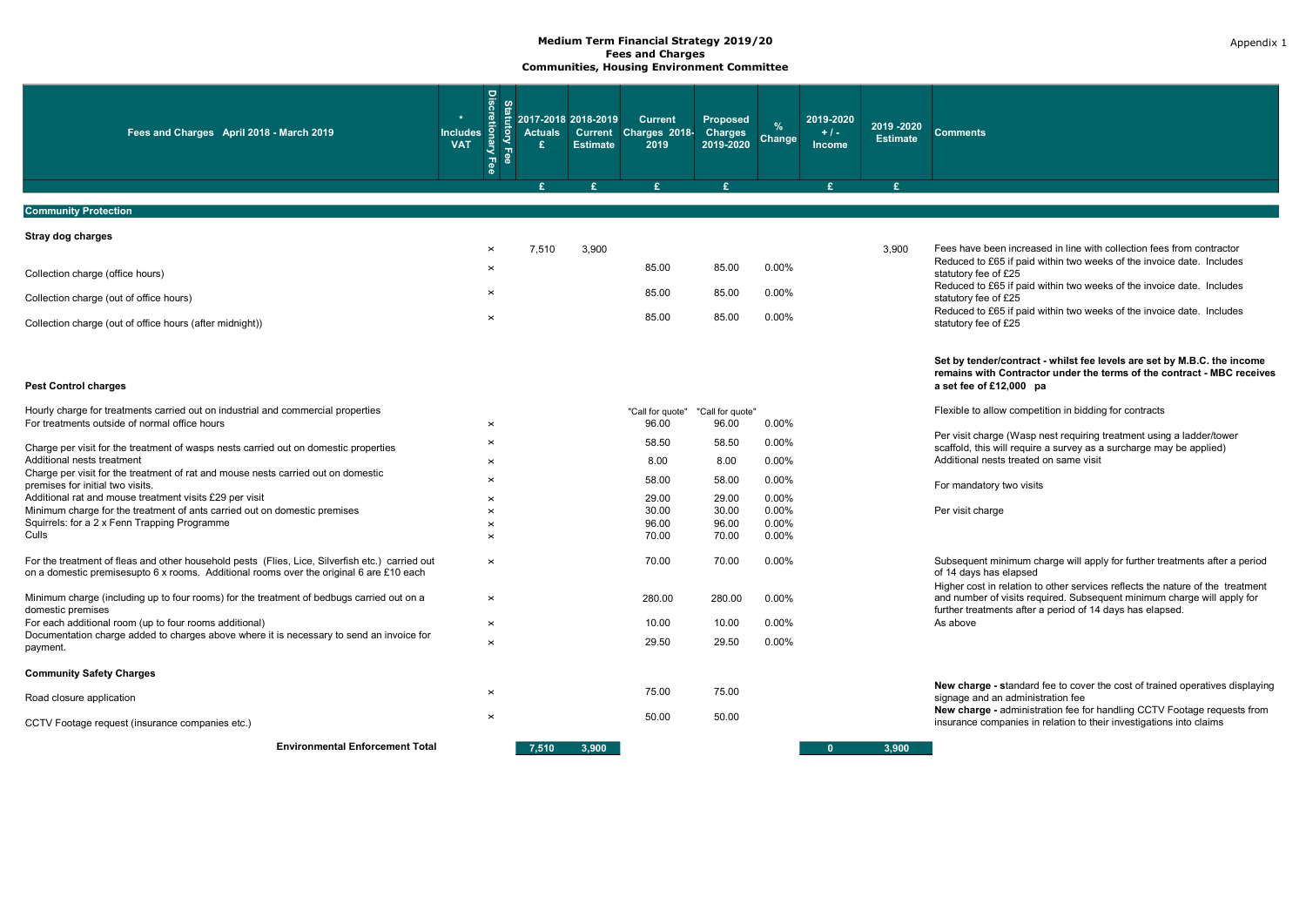| Fees and Charges April 2018 - March 2019                                                                                                                                                   | <b>Discretionary</b><br>$\star$<br><b>Includes</b><br><b>VAT</b><br>Fee | <b>Statutory Fee</b><br><b>Actuals</b><br>£ | 2017-2018 2018-2019<br><b>Estimate</b> | <b>Current</b><br>Current Charges 2018-<br>2019 | <b>Proposed</b><br><b>Charges</b><br>2019-2020 | $\frac{9}{6}$<br>Change | 2019-2020<br>$+1-$<br>Income | 2019 - 2020<br><b>Estimate</b> | <b>Comments</b>                                                                                                                                                              |
|--------------------------------------------------------------------------------------------------------------------------------------------------------------------------------------------|-------------------------------------------------------------------------|---------------------------------------------|----------------------------------------|-------------------------------------------------|------------------------------------------------|-------------------------|------------------------------|--------------------------------|------------------------------------------------------------------------------------------------------------------------------------------------------------------------------|
|                                                                                                                                                                                            |                                                                         | £.                                          | £.                                     | $\mathbf{F}$                                    | $\mathbf{f}$                                   |                         | $\mathbf{f}$                 | $\mathbf{F}$                   |                                                                                                                                                                              |
| <b>Community Protection</b>                                                                                                                                                                |                                                                         |                                             |                                        |                                                 |                                                |                         |                              |                                |                                                                                                                                                                              |
| Stray dog charges                                                                                                                                                                          |                                                                         |                                             |                                        |                                                 |                                                |                         |                              |                                |                                                                                                                                                                              |
|                                                                                                                                                                                            | $\times$<br>$\times$                                                    | 7.510                                       | 3.900                                  | 85.00                                           | 85.00                                          | 0.00%                   |                              | 3.900                          | Fees have been increased in line with collection fees from contractor<br>Reduced to £65 if paid within two weeks of the invoice date. Includes                               |
| Collection charge (office hours)                                                                                                                                                           |                                                                         |                                             |                                        |                                                 |                                                |                         |                              |                                | statutory fee of £25<br>Reduced to £65 if paid within two weeks of the invoice date. Includes                                                                                |
| Collection charge (out of office hours)                                                                                                                                                    | $\times$                                                                |                                             |                                        | 85.00                                           | 85.00                                          | 0.00%                   |                              |                                | statutory fee of £25                                                                                                                                                         |
| Collection charge (out of office hours (after midnight))                                                                                                                                   | $\times$                                                                |                                             |                                        | 85.00                                           | 85.00                                          | 0.00%                   |                              |                                | Reduced to £65 if paid within two weeks of the invoice date. Includes<br>statutory fee of £25                                                                                |
| <b>Pest Control charges</b>                                                                                                                                                                |                                                                         |                                             |                                        |                                                 |                                                |                         |                              |                                | Set by tender/contract - whilst fee levels are set by M.B.C. the income<br>remains with Contractor under the terms of the contract - MBC receives<br>a set fee of £12,000 pa |
| Hourly charge for treatments carried out on industrial and commercial properties                                                                                                           |                                                                         |                                             |                                        | "Call for quote"                                | "Call for quote"                               |                         |                              |                                | Flexible to allow competition in bidding for contracts                                                                                                                       |
| For treatments outside of normal office hours                                                                                                                                              | $\times$                                                                |                                             |                                        | 96.00                                           | 96.00                                          | 0.00%                   |                              |                                |                                                                                                                                                                              |
| Charge per visit for the treatment of wasps nests carried out on domestic properties                                                                                                       | $\times$                                                                |                                             |                                        | 58.50                                           | 58.50                                          | 0.00%                   |                              |                                | Per visit charge (Wasp nest requiring treatment using a ladder/tower<br>scaffold, this will require a survey as a surcharge may be applied)                                  |
| Additional nests treatment                                                                                                                                                                 | $\times$                                                                |                                             |                                        | 8.00                                            | 8.00                                           | $0.00\%$                |                              |                                | Additional nests treated on same visit                                                                                                                                       |
| Charge per visit for the treatment of rat and mouse nests carried out on domestic<br>premises for initial two visits.                                                                      | $\times$                                                                |                                             |                                        | 58.00                                           | 58.00                                          | 0.00%                   |                              |                                | For mandatory two visits                                                                                                                                                     |
| Additional rat and mouse treatment visits £29 per visit                                                                                                                                    | $\times$                                                                |                                             |                                        | 29.00                                           | 29.00                                          | 0.00%                   |                              |                                |                                                                                                                                                                              |
| Minimum charge for the treatment of ants carried out on domestic premises<br>Squirrels: for a 2 x Fenn Trapping Programme                                                                  | $\times$                                                                |                                             |                                        | 30.00                                           | 30.00                                          | 0.00%                   |                              |                                | Per visit charge                                                                                                                                                             |
| Culls                                                                                                                                                                                      | $\times$<br>$\times$                                                    |                                             |                                        | 96.00<br>70.00                                  | 96.00<br>70.00                                 | 0.00%<br>0.00%          |                              |                                |                                                                                                                                                                              |
| For the treatment of fleas and other household pests (Flies, Lice, Silverfish etc.) carried out<br>on a domestic premisesupto 6 x rooms. Additional rooms over the original 6 are £10 each | $\pmb{\times}$                                                          |                                             |                                        | 70.00                                           | 70.00                                          | 0.00%                   |                              |                                | Subsequent minimum charge will apply for further treatments after a period<br>of 14 days has elapsed                                                                         |
| Minimum charge (including up to four rooms) for the treatment of bedbugs carried out on a                                                                                                  | $\times$                                                                |                                             |                                        | 280.00                                          | 280.00                                         | 0.00%                   |                              |                                | Higher cost in relation to other services reflects the nature of the treatment<br>and number of visits required. Subsequent minimum charge will apply for                    |
| domestic premises<br>For each additional room (up to four rooms additional)                                                                                                                | $\times$                                                                |                                             |                                        | 10.00                                           | 10.00                                          | 0.00%                   |                              |                                | further treatments after a period of 14 days has elapsed.<br>As above                                                                                                        |
| Documentation charge added to charges above where it is necessary to send an invoice for<br>payment.                                                                                       | $\times$                                                                |                                             |                                        | 29.50                                           | 29.50                                          | 0.00%                   |                              |                                |                                                                                                                                                                              |
| <b>Community Safety Charges</b>                                                                                                                                                            |                                                                         |                                             |                                        |                                                 |                                                |                         |                              |                                |                                                                                                                                                                              |
| Road closure application                                                                                                                                                                   | $\times$                                                                |                                             |                                        | 75.00                                           | 75.00                                          |                         |                              |                                | New charge - standard fee to cover the cost of trained operatives displaying<br>signage and an administration fee                                                            |
| CCTV Footage request (insurance companies etc.)                                                                                                                                            | $\times$                                                                |                                             |                                        | 50.00                                           | 50.00                                          |                         |                              |                                | New charge - administration fee for handling CCTV Footage requests from<br>insurance companies in relation to their investigations into claims                               |
| <b>Environmental Enforcement Total</b>                                                                                                                                                     |                                                                         | 7.510                                       | 3.900                                  |                                                 |                                                |                         |                              | 3.900                          |                                                                                                                                                                              |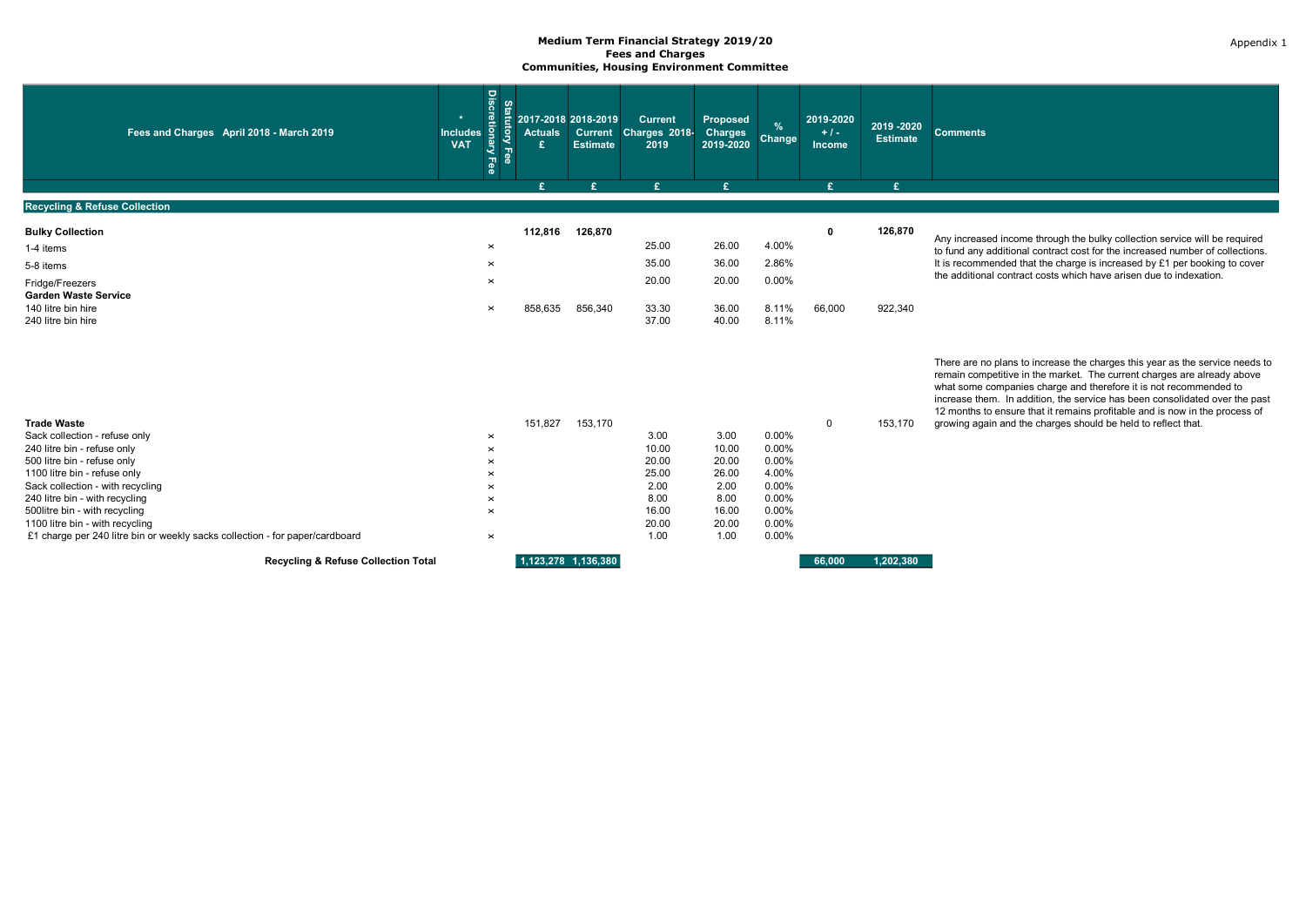| Fees and Charges April 2018 - March 2019                                                   | <b>Discretior</b><br>Statu<br>डु<br><b>Includes</b><br><b>VAT</b><br>ā<br><b>Fee</b><br>Fee | <b>Actuals</b><br>£ | 2017-2018 2018-2019<br><b>Estimate</b> | <b>Current</b><br>Current Charges 2018-<br>2019 | Proposed<br><b>Charges</b><br>2019-2020 | $\%$<br>Change          | 2019-2020<br>$+1-$<br>Income | 2019 - 2020<br><b>Estimate</b> | <b>Comments</b>                                                                                                                                                                                                                                                                                                                                                                            |
|--------------------------------------------------------------------------------------------|---------------------------------------------------------------------------------------------|---------------------|----------------------------------------|-------------------------------------------------|-----------------------------------------|-------------------------|------------------------------|--------------------------------|--------------------------------------------------------------------------------------------------------------------------------------------------------------------------------------------------------------------------------------------------------------------------------------------------------------------------------------------------------------------------------------------|
|                                                                                            |                                                                                             | £                   | £.                                     | £.                                              | $\mathbf{F}$                            |                         | £.                           | £                              |                                                                                                                                                                                                                                                                                                                                                                                            |
| <b>Recycling &amp; Refuse Collection</b>                                                   |                                                                                             |                     |                                        |                                                 |                                         |                         |                              |                                |                                                                                                                                                                                                                                                                                                                                                                                            |
| <b>Bulky Collection</b><br>1-4 items                                                       | $\times$                                                                                    | 112,816             | 126,870                                | 25.00                                           | 26.00                                   | 4.00%                   | 0                            | 126,870                        | Any increased income through the bulky collection service will be required<br>to fund any additional contract cost for the increased number of collections.                                                                                                                                                                                                                                |
| 5-8 items                                                                                  | $\times$                                                                                    |                     |                                        | 35.00                                           | 36.00                                   | 2.86%                   |                              |                                | It is recommended that the charge is increased by £1 per booking to cover                                                                                                                                                                                                                                                                                                                  |
| Fridge/Freezers<br><b>Garden Waste Service</b><br>140 litre bin hire<br>240 litre bin hire | $\times$<br>$\times$                                                                        | 858,635             | 856,340                                | 20.00<br>33.30<br>37.00                         | 20.00<br>36.00<br>40.00                 | 0.00%<br>8.11%<br>8.11% | 66,000                       | 922,340                        | the additional contract costs which have arisen due to indexation.                                                                                                                                                                                                                                                                                                                         |
|                                                                                            |                                                                                             |                     |                                        |                                                 |                                         |                         |                              |                                | There are no plans to increase the charges this year as the service needs to<br>remain competitive in the market. The current charges are already above<br>what some companies charge and therefore it is not recommended to<br>increase them. In addition, the service has been consolidated over the past<br>12 months to ensure that it remains profitable and is now in the process of |
| <b>Trade Waste</b>                                                                         |                                                                                             | 151,827             | 153,170                                |                                                 |                                         |                         | $\Omega$                     | 153,170                        | growing again and the charges should be held to reflect that.                                                                                                                                                                                                                                                                                                                              |
| Sack collection - refuse only<br>240 litre bin - refuse only                               | $\pmb{\times}$<br>$\times$                                                                  |                     |                                        | 3.00<br>10.00                                   | 3.00<br>10.00                           | 0.00%<br>0.00%          |                              |                                |                                                                                                                                                                                                                                                                                                                                                                                            |
| 500 litre bin - refuse only                                                                | $\times$                                                                                    |                     |                                        | 20.00                                           | 20.00                                   | 0.00%                   |                              |                                |                                                                                                                                                                                                                                                                                                                                                                                            |
| 1100 litre bin - refuse only                                                               | $\times$                                                                                    |                     |                                        | 25.00                                           | 26.00                                   | 4.00%                   |                              |                                |                                                                                                                                                                                                                                                                                                                                                                                            |
| Sack collection - with recycling                                                           | $\times$                                                                                    |                     |                                        | 2.00                                            | 2.00                                    | 0.00%                   |                              |                                |                                                                                                                                                                                                                                                                                                                                                                                            |
| 240 litre bin - with recycling<br>500litre bin - with recycling                            | $\times$<br>$\times$                                                                        |                     |                                        | 8.00<br>16.00                                   | 8.00<br>16.00                           | 0.00%<br>0.00%          |                              |                                |                                                                                                                                                                                                                                                                                                                                                                                            |
| 1100 litre bin - with recycling                                                            |                                                                                             |                     |                                        | 20.00                                           | 20.00                                   | 0.00%                   |                              |                                |                                                                                                                                                                                                                                                                                                                                                                                            |
| £1 charge per 240 litre bin or weekly sacks collection - for paper/cardboard               | $\times$                                                                                    |                     |                                        | 1.00                                            | 1.00                                    | 0.00%                   |                              |                                |                                                                                                                                                                                                                                                                                                                                                                                            |
| <b>Recycling &amp; Refuse Collection Total</b>                                             |                                                                                             | 1,123,278 1,136,380 |                                        |                                                 |                                         |                         | 66,000                       | 1,202,380                      |                                                                                                                                                                                                                                                                                                                                                                                            |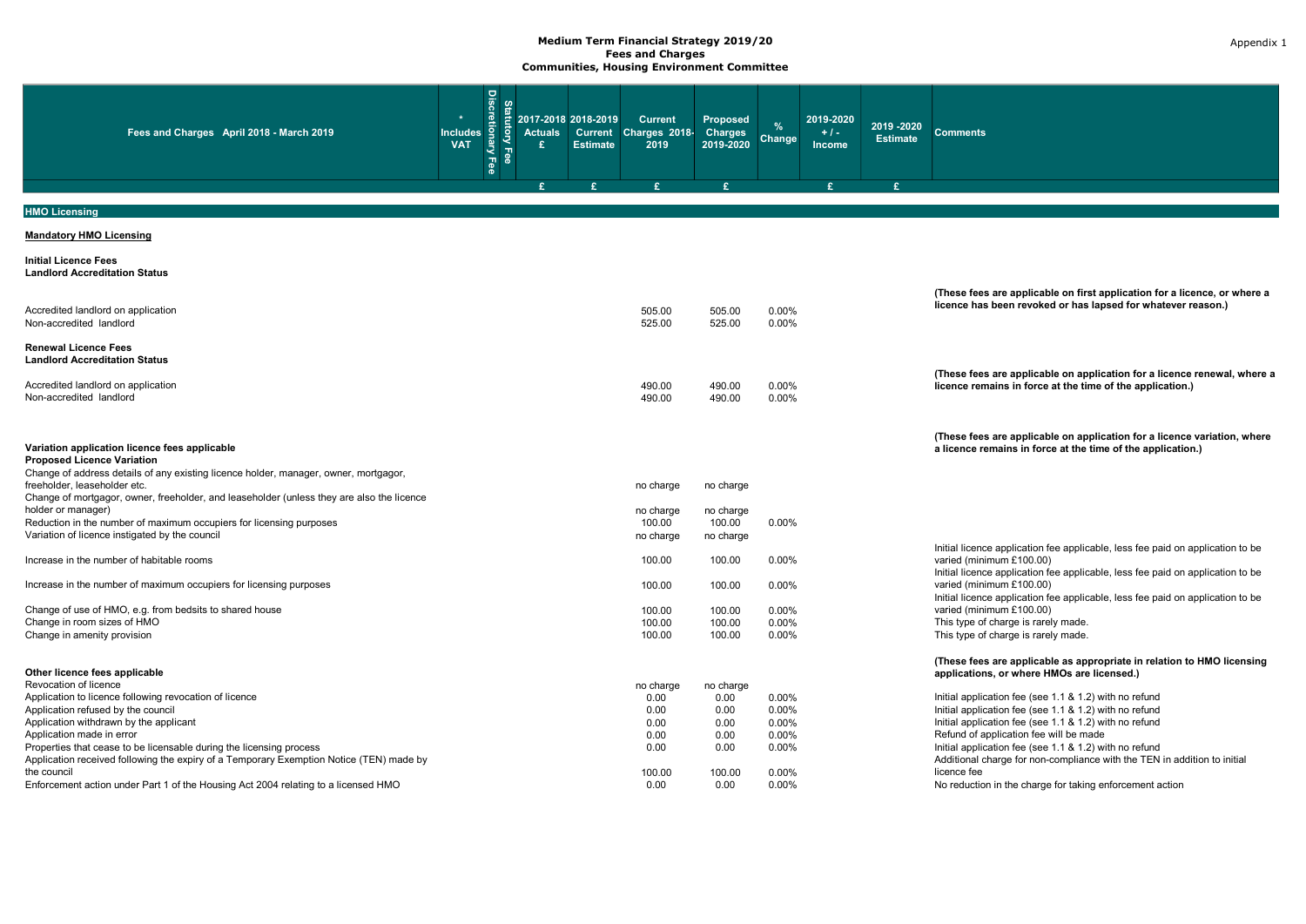| Fee<br>Fee<br>£<br>£                                                                                                                                                                                              | £                                | £.                               |                | £. | £. |                                                                                                                                                                                              |
|-------------------------------------------------------------------------------------------------------------------------------------------------------------------------------------------------------------------|----------------------------------|----------------------------------|----------------|----|----|----------------------------------------------------------------------------------------------------------------------------------------------------------------------------------------------|
|                                                                                                                                                                                                                   |                                  |                                  |                |    |    |                                                                                                                                                                                              |
| <b>HMO Licensing</b>                                                                                                                                                                                              |                                  |                                  |                |    |    |                                                                                                                                                                                              |
| <b>Mandatory HMO Licensing</b>                                                                                                                                                                                    |                                  |                                  |                |    |    |                                                                                                                                                                                              |
| <b>Initial Licence Fees</b><br><b>Landlord Accreditation Status</b>                                                                                                                                               |                                  |                                  |                |    |    |                                                                                                                                                                                              |
| Accredited landlord on application<br>Non-accredited landlord                                                                                                                                                     | 505.00<br>525.00                 | 505.00<br>525.00                 | 0.00%<br>0.00% |    |    | (These fees are applicable on first application for a licence, or where a<br>licence has been revoked or has lapsed for whatever reason.)                                                    |
| <b>Renewal Licence Fees</b><br><b>Landlord Accreditation Status</b>                                                                                                                                               |                                  |                                  |                |    |    | (These fees are applicable on application for a licence renewal, where a                                                                                                                     |
| Accredited landlord on application<br>Non-accredited landlord                                                                                                                                                     | 490.00<br>490.00                 | 490.00<br>490.00                 | 0.00%<br>0.00% |    |    | licence remains in force at the time of the application.)                                                                                                                                    |
| Variation application licence fees applicable<br><b>Proposed Licence Variation</b>                                                                                                                                |                                  |                                  |                |    |    | (These fees are applicable on application for a licence variation, where<br>a licence remains in force at the time of the application.)                                                      |
| Change of address details of any existing licence holder, manager, owner, mortgagor,<br>freeholder, leaseholder etc.<br>Change of mortgagor, owner, freeholder, and leaseholder (unless they are also the licence | no charge                        | no charge                        |                |    |    |                                                                                                                                                                                              |
| holder or manager)<br>Reduction in the number of maximum occupiers for licensing purposes<br>Variation of licence instigated by the council                                                                       | no charge<br>100.00<br>no charge | no charge<br>100.00<br>no charge | 0.00%          |    |    |                                                                                                                                                                                              |
| Increase in the number of habitable rooms                                                                                                                                                                         | 100.00                           | 100.00                           | 0.00%          |    |    | Initial licence application fee applicable, less fee paid on application to be<br>varied (minimum £100.00)<br>Initial licence application fee applicable, less fee paid on application to be |
| Increase in the number of maximum occupiers for licensing purposes                                                                                                                                                | 100.00                           | 100.00                           | 0.00%          |    |    | varied (minimum £100.00)<br>Initial licence application fee applicable, less fee paid on application to be                                                                                   |
| Change of use of HMO, e.g. from bedsits to shared house<br>Change in room sizes of HMO                                                                                                                            | 100.00<br>100.00                 | 100.00<br>100.00                 | 0.00%<br>0.00% |    |    | varied (minimum £100.00)<br>This type of charge is rarely made.                                                                                                                              |
| Change in amenity provision                                                                                                                                                                                       | 100.00                           | 100.00                           | 0.00%          |    |    | This type of charge is rarely made.                                                                                                                                                          |
| Other licence fees applicable<br>Revocation of licence                                                                                                                                                            | no charge                        | no charge                        |                |    |    | (These fees are applicable as appropriate in relation to HMO licensing<br>applications, or where HMOs are licensed.)                                                                         |
| Application to licence following revocation of licence                                                                                                                                                            | 0.00                             | 0.00                             | 0.00%          |    |    | Initial application fee (see 1.1 & 1.2) with no refund                                                                                                                                       |
| Application refused by the council<br>Application withdrawn by the applicant                                                                                                                                      | 0.00<br>0.00                     | 0.00<br>0.00                     | 0.00%<br>0.00% |    |    | Initial application fee (see 1.1 & 1.2) with no refund<br>Initial application fee (see 1.1 & 1.2) with no refund                                                                             |
| Application made in error                                                                                                                                                                                         | 0.00                             | 0.00                             | $0.00\%$       |    |    | Refund of application fee will be made                                                                                                                                                       |
| Properties that cease to be licensable during the licensing process<br>Application received following the expiry of a Temporary Exemption Notice (TEN) made by                                                    | 0.00                             | 0.00                             | 0.00%          |    |    | Initial application fee (see 1.1 & 1.2) with no refund<br>Additional charge for non-compliance with the TEN in addition to initial                                                           |
| the council<br>Enforcement action under Part 1 of the Housing Act 2004 relating to a licensed HMO                                                                                                                 | 100.00<br>0.00                   | 100.00<br>0.00                   | 0.00%<br>0.00% |    |    | licence fee<br>No reduction in the charge for taking enforcement action                                                                                                                      |